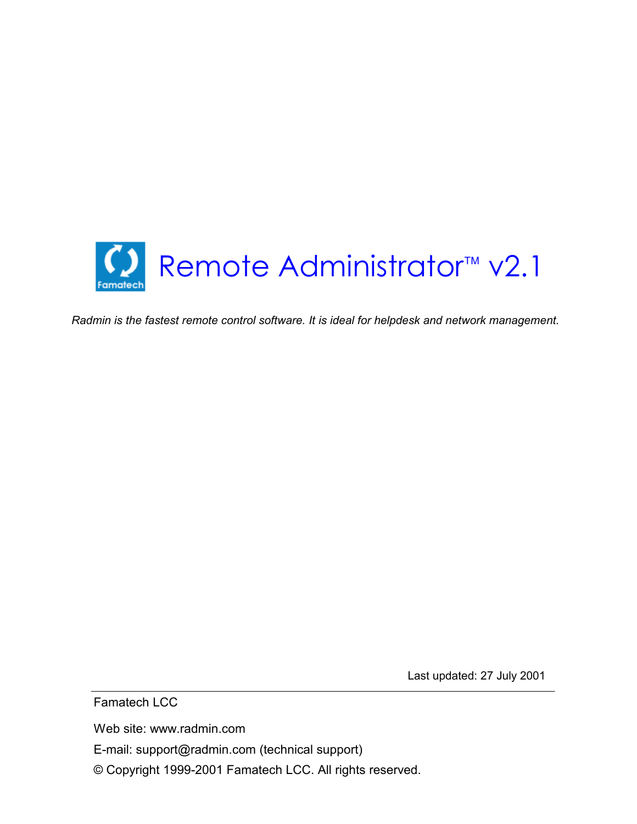

*Radmin is the fastest remote control software. It is ideal for helpdesk and network management.* 

Last updated: 27 July 2001

Famatech LCC

Web site: www.radmin.com

E-mail: support@radmin.com (technical support)

© Copyright 1999-2001 Famatech LCC. All rights reserved.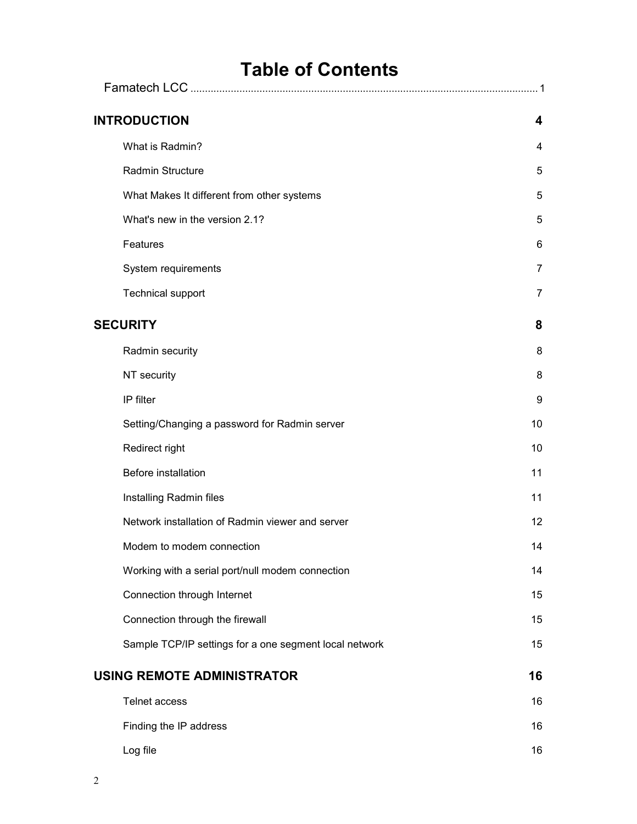| <b>Table of Contents</b>                               |                |
|--------------------------------------------------------|----------------|
| Famatech LCC                                           |                |
| <b>INTRODUCTION</b>                                    | 4              |
| What is Radmin?                                        | 4              |
| Radmin Structure                                       | 5              |
| What Makes It different from other systems             | 5              |
| What's new in the version 2.1?                         | 5              |
| Features                                               | 6              |
| System requirements                                    | 7              |
| <b>Technical support</b>                               | $\overline{7}$ |
| <b>SECURITY</b>                                        | 8              |
| Radmin security                                        | 8              |
| NT security                                            | 8              |
| IP filter                                              | 9              |
| Setting/Changing a password for Radmin server          | 10             |
| Redirect right                                         | 10             |
| Before installation                                    | 11             |
| Installing Radmin files                                | 11             |
| Network installation of Radmin viewer and server       | 12             |
| Modem to modem connection                              | 14             |
| Working with a serial port/null modem connection       | 14             |
| Connection through Internet                            | 15             |
| Connection through the firewall                        | 15             |
| Sample TCP/IP settings for a one segment local network | 15             |
| <b>USING REMOTE ADMINISTRATOR</b>                      | 16             |
| <b>Telnet access</b>                                   | 16             |
| Finding the IP address                                 | 16             |
| Log file                                               | 16             |
|                                                        |                |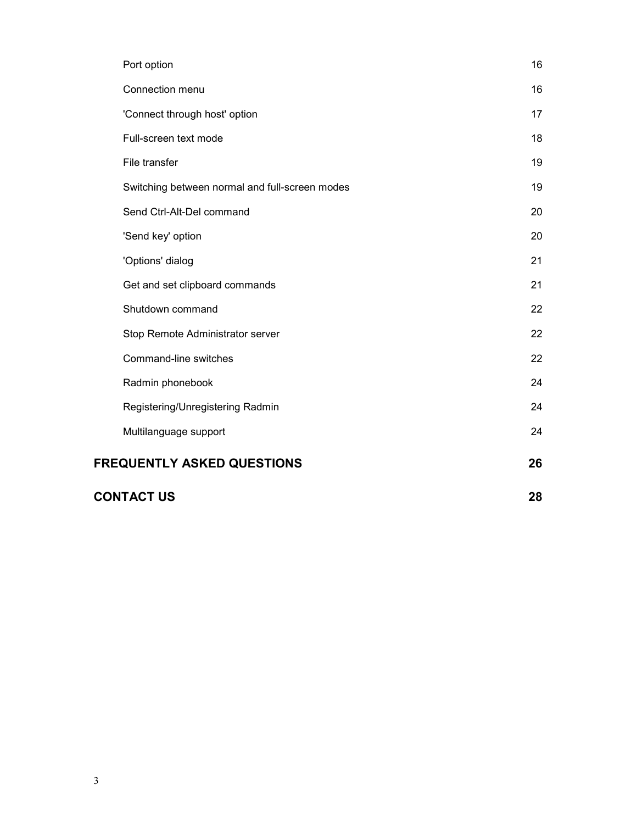| Port option                                    | 16 |
|------------------------------------------------|----|
| Connection menu                                | 16 |
| 'Connect through host' option                  | 17 |
| Full-screen text mode                          | 18 |
| File transfer                                  | 19 |
| Switching between normal and full-screen modes | 19 |
| Send Ctrl-Alt-Del command                      | 20 |
| 'Send key' option                              | 20 |
| 'Options' dialog                               | 21 |
| Get and set clipboard commands                 | 21 |
| Shutdown command                               | 22 |
| Stop Remote Administrator server               | 22 |
| Command-line switches                          | 22 |
| Radmin phonebook                               | 24 |
| Registering/Unregistering Radmin               | 24 |
| Multilanguage support                          | 24 |
| <b>FREQUENTLY ASKED QUESTIONS</b>              | 26 |
| <b>CONTACT US</b>                              | 28 |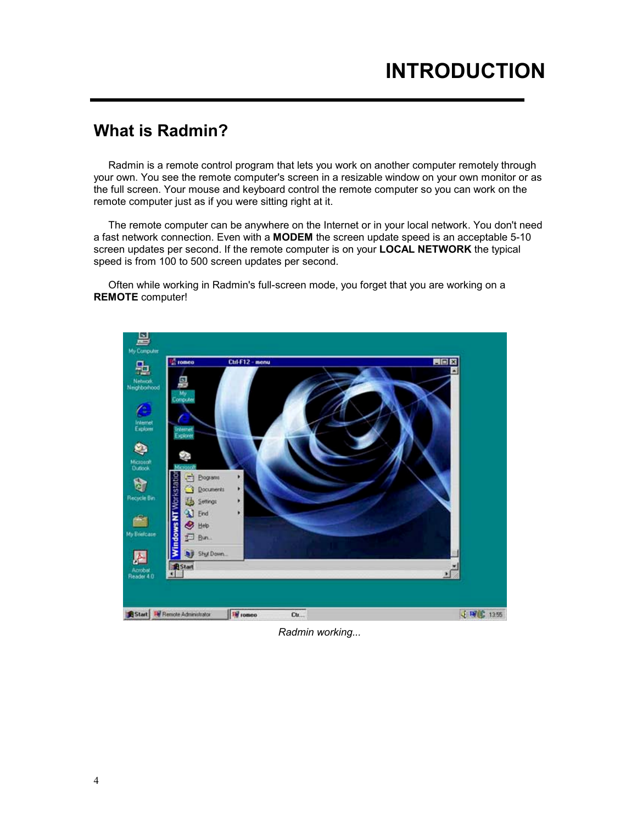### **What is Radmin?**

Radmin is a remote control program that lets you work on another computer remotely through your own. You see the remote computer's screen in a resizable window on your own monitor or as the full screen. Your mouse and keyboard control the remote computer so you can work on the remote computer just as if you were sitting right at it.

The remote computer can be anywhere on the Internet or in your local network. You don't need a fast network connection. Even with a **MODEM** the screen update speed is an acceptable 5-10 screen updates per second. If the remote computer is on your **LOCAL NETWORK** the typical speed is from 100 to 500 screen updates per second.

Often while working in Radmin's full-screen mode, you forget that you are working on a **REMOTE** computer!



*Radmin working...*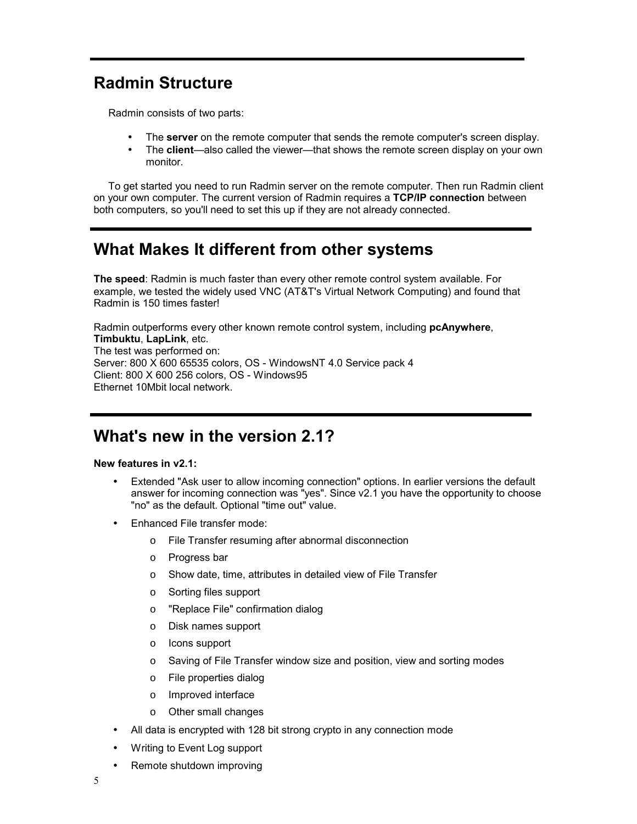# **Radmin Structure**

Radmin consists of two parts:

- The **server** on the remote computer that sends the remote computer's screen display.
- The **client**—also called the viewer—that shows the remote screen display on your own monitor.

To get started you need to run Radmin server on the remote computer. Then run Radmin client on your own computer. The current version of Radmin requires a **TCP/IP connection** between both computers, so you'll need to set this up if they are not already connected.

### **What Makes It different from other systems**

**The speed**: Radmin is much faster than every other remote control system available. For example, we tested the widely used VNC (AT&T's Virtual Network Computing) and found that Radmin is 150 times faster!

Radmin outperforms every other known remote control system, including **pcAnywhere**, **Timbuktu**, **LapLink**, etc. The test was performed on: Server: 800 X 600 65535 colors, OS - WindowsNT 4.0 Service pack 4 Client: 800 X 600 256 colors, OS - Windows95 Ethernet 10Mbit local network.

### **What's new in the version 2.1?**

#### **New features in v2.1:**

- Extended "Ask user to allow incoming connection" options. In earlier versions the default answer for incoming connection was "yes". Since v2.1 you have the opportunity to choose "no" as the default. Optional "time out" value.
- Enhanced File transfer mode:
	- o File Transfer resuming after abnormal disconnection
	- o Progress bar
	- o Show date, time, attributes in detailed view of File Transfer
	- o Sorting files support
	- o "Replace File" confirmation dialog
	- o Disk names support
	- o Icons support
	- o Saving of File Transfer window size and position, view and sorting modes
	- o File properties dialog
	- o Improved interface
	- o Other small changes
- All data is encrypted with 128 bit strong crypto in any connection mode
- Writing to Event Log support
- Remote shutdown improving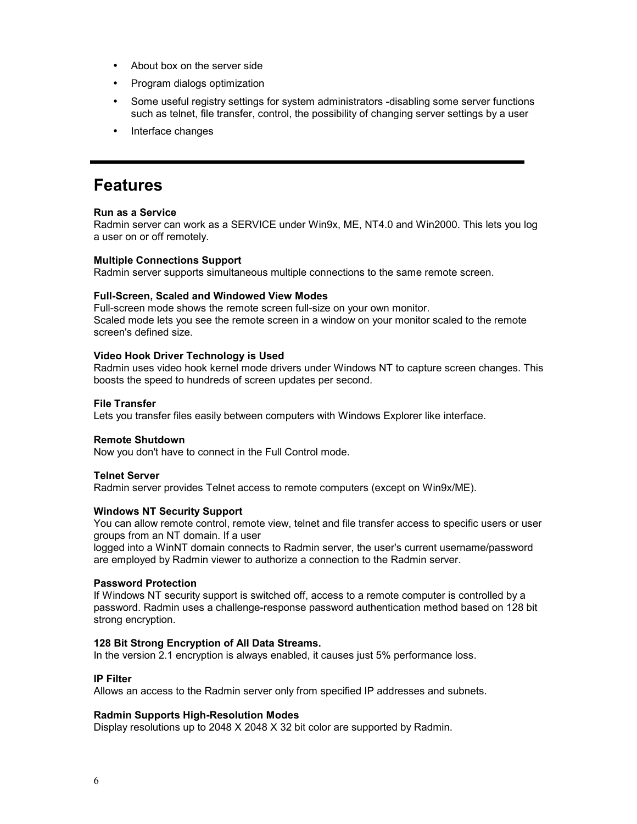- About box on the server side
- Program dialogs optimization
- Some useful registry settings for system administrators -disabling some server functions such as telnet, file transfer, control, the possibility of changing server settings by a user
- Interface changes

#### **Features**

#### **Run as a Service**

Radmin server can work as a SERVICE under Win9x, ME, NT4.0 and Win2000. This lets you log a user on or off remotely.

#### **Multiple Connections Support**

Radmin server supports simultaneous multiple connections to the same remote screen.

#### **Full-Screen, Scaled and Windowed View Modes**

Full-screen mode shows the remote screen full-size on your own monitor. Scaled mode lets you see the remote screen in a window on your monitor scaled to the remote screen's defined size.

#### **Video Hook Driver Technology is Used**

Radmin uses video hook kernel mode drivers under Windows NT to capture screen changes. This boosts the speed to hundreds of screen updates per second.

#### **File Transfer**

Lets you transfer files easily between computers with Windows Explorer like interface.

#### **Remote Shutdown**

Now you don't have to connect in the Full Control mode.

#### **Telnet Server**

Radmin server provides Telnet access to remote computers (except on Win9x/ME).

#### **Windows NT Security Support**

You can allow remote control, remote view, telnet and file transfer access to specific users or user groups from an NT domain. If a user

logged into a WinNT domain connects to Radmin server, the user's current username/password are employed by Radmin viewer to authorize a connection to the Radmin server.

#### **Password Protection**

If Windows NT security support is switched off, access to a remote computer is controlled by a password. Radmin uses a challenge-response password authentication method based on 128 bit strong encryption.

#### **128 Bit Strong Encryption of All Data Streams.**

In the version 2.1 encryption is always enabled, it causes just 5% performance loss.

#### **IP Filter**

Allows an access to the Radmin server only from specified IP addresses and subnets.

#### **Radmin Supports High-Resolution Modes**

Display resolutions up to 2048 X 2048 X 32 bit color are supported by Radmin.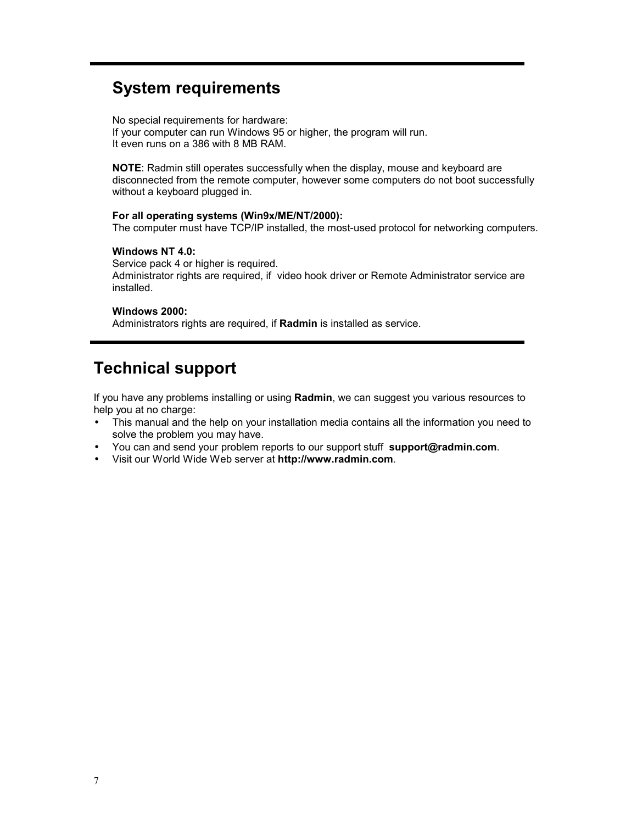# **System requirements**

No special requirements for hardware: If your computer can run Windows 95 or higher, the program will run. It even runs on a 386 with 8 MB RAM.

**NOTE**: Radmin still operates successfully when the display, mouse and keyboard are disconnected from the remote computer, however some computers do not boot successfully without a keyboard plugged in.

#### **For all operating systems (Win9x/ME/NT/2000):**

The computer must have TCP/IP installed, the most-used protocol for networking computers.

#### **Windows NT 4.0:**

Service pack 4 or higher is required. Administrator rights are required, if video hook driver or Remote Administrator service are installed.

#### **Windows 2000:**

Administrators rights are required, if **Radmin** is installed as service.

### **Technical support**

If you have any problems installing or using **Radmin**, we can suggest you various resources to help you at no charge:

- This manual and the help on your installation media contains all the information you need to solve the problem you may have.
- You can and send your problem reports to our support stuff **support@radmin.com**.
- Visit our World Wide Web server at **http://www.radmin.com**.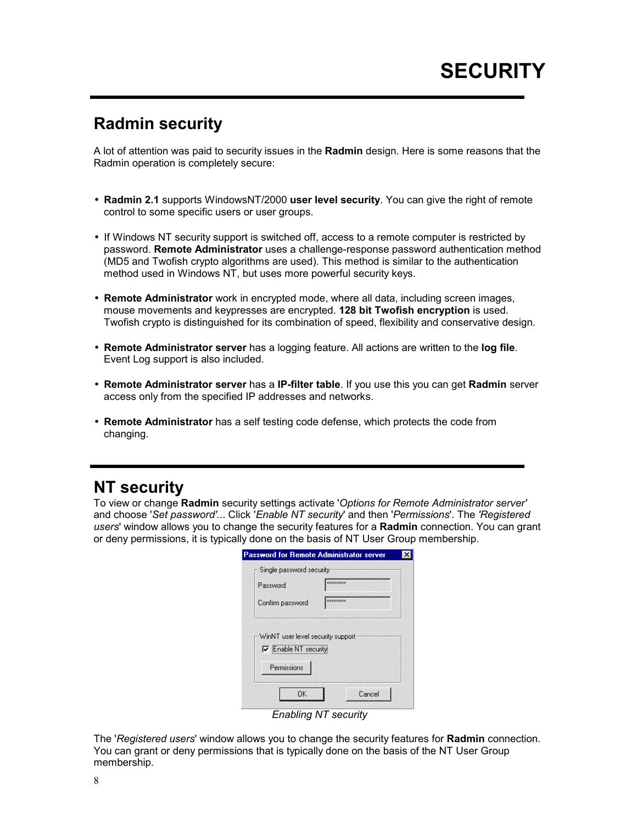# **Radmin security**

A lot of attention was paid to security issues in the **Radmin** design. Here is some reasons that the Radmin operation is completely secure:

- **Radmin 2.1** supports WindowsNT/2000 **user level security**. You can give the right of remote control to some specific users or user groups.
- If Windows NT security support is switched off, access to a remote computer is restricted by password. **Remote Administrator** uses a challenge-response password authentication method (MD5 and Twofish crypto algorithms are used). This method is similar to the authentication method used in Windows NT, but uses more powerful security keys.
- **Remote Administrator** work in encrypted mode, where all data, including screen images, mouse movements and keypresses are encrypted. **128 bit Twofish encryption** is used. Twofish crypto is distinguished for its combination of speed, flexibility and conservative design.
- **Remote Administrator server** has a logging feature. All actions are written to the **log file**. Event Log support is also included.
- **Remote Administrator server** has a **IP-filter table**. If you use this you can get **Radmin** server access only from the specified IP addresses and networks.
- **Remote Administrator** has a self testing code defense, which protects the code from changing.

### **NT security**

To view or change **Radmin** security settings activate '*Options for Remote Administrator server'* and choose '*Set password'.*.. Click '*Enable NT security*' and then '*Permissions*'. The *'Registered users*' window allows you to change the security features for a **Radmin** connection. You can grant or deny permissions, it is typically done on the basis of NT User Group membership.

| Single password security                                         |                |
|------------------------------------------------------------------|----------------|
| Password                                                         | <b>EXXXXXX</b> |
| Confirm password                                                 | ********       |
|                                                                  |                |
| WinNT user level security support<br>$\nabla$ Enable NT security |                |

*Enabling NT security* 

The '*Registered users*' window allows you to change the security features for **Radmin** connection. You can grant or deny permissions that is typically done on the basis of the NT User Group membership.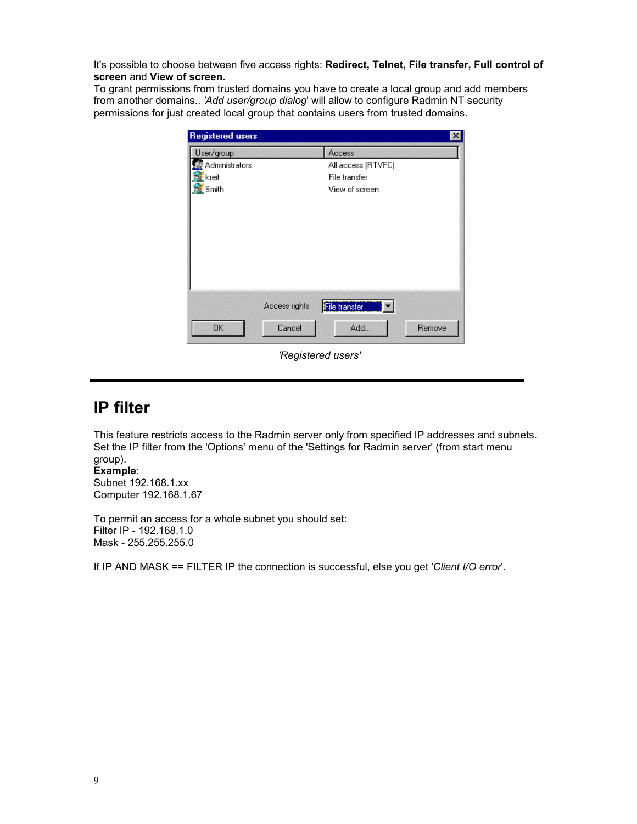It's possible to choose between five access rights: **Redirect, Telnet, File transfer, Full control of screen** and **View of screen.**

To grant permissions from trusted domains you have to create a local group and add members from another domains.. *'Add user/group dialog*' will allow to configure Radmin NT security permissions for just created local group that contains users from trusted domains.

| User/group     |                    | Access               |  |
|----------------|--------------------|----------------------|--|
| Administrators | All access (RTVFC) |                      |  |
| kreit          |                    | File transfer        |  |
| Smith          | View of screen     |                      |  |
|                |                    |                      |  |
|                |                    |                      |  |
|                |                    |                      |  |
|                |                    |                      |  |
|                |                    |                      |  |
|                |                    |                      |  |
|                |                    |                      |  |
|                | Access rights      | −∣                   |  |
| <b>OK</b>      | Cancel             | File transfer<br>Add |  |

*'Registered users'* 

#### **IP filter**

This feature restricts access to the Radmin server only from specified IP addresses and subnets. Set the IP filter from the 'Options' menu of the 'Settings for Radmin server' (from start menu group).

#### **Example**:

Subnet 192.168.1.xx Computer 192.168.1.67

To permit an access for a whole subnet you should set: Filter IP - 192.168.1.0 Mask - 255.255.255.0

If IP AND MASK == FILTER IP the connection is successful, else you get '*Client I/O error*'.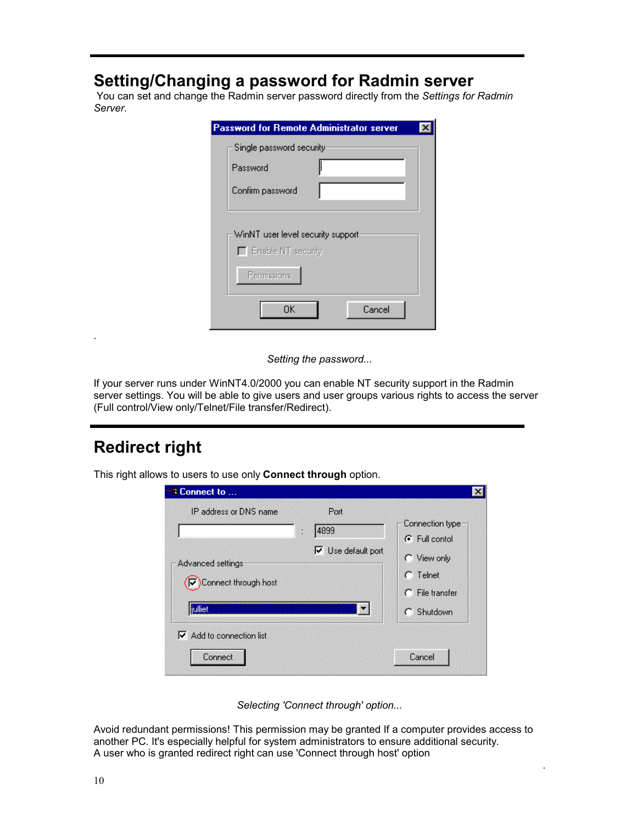# **Setting/Changing a password for Radmin server**

 You can set and change the Radmin server password directly from the *Settings for Radmin Server*.

| <b>Password for Remote Administrator server</b>                        |        |  |
|------------------------------------------------------------------------|--------|--|
| Single password security                                               |        |  |
| Password                                                               |        |  |
| Confirm password                                                       |        |  |
| WinNT user level security support<br>Enable NT security<br>Permissions |        |  |
| OΚ                                                                     | Cancel |  |

*Setting the password...* 

If your server runs under WinNT4.0/2000 you can enable NT security support in the Radmin server settings. You will be able to give users and user groups various rights to access the server (Full control/View only/Telnet/File transfer/Redirect).

### **Redirect right**

.

This right allows to users to use only **Connect through** option.

| <b>Connect to </b>                                                                                                  |                                                                                                                       |
|---------------------------------------------------------------------------------------------------------------------|-----------------------------------------------------------------------------------------------------------------------|
| IP address or DNS name<br>Port<br>4899<br>ĭ<br>Advanced settings<br>$\nabla$ Connect through host<br><b>ijuliet</b> | Connection type<br>G Full contol<br>$\nabla$ Use default port<br>C View only<br>Telnet<br>File transfer<br>C Shutdown |
| $\nabla$ Add to connection list<br>Connect                                                                          | Cancel                                                                                                                |

*Selecting 'Connect through' option...* 

Avoid redundant permissions! This permission may be granted If a computer provides access to another PC. It's especially helpful for system administrators to ensure additional security. A user who is granted redirect right can use 'Connect through host' option

.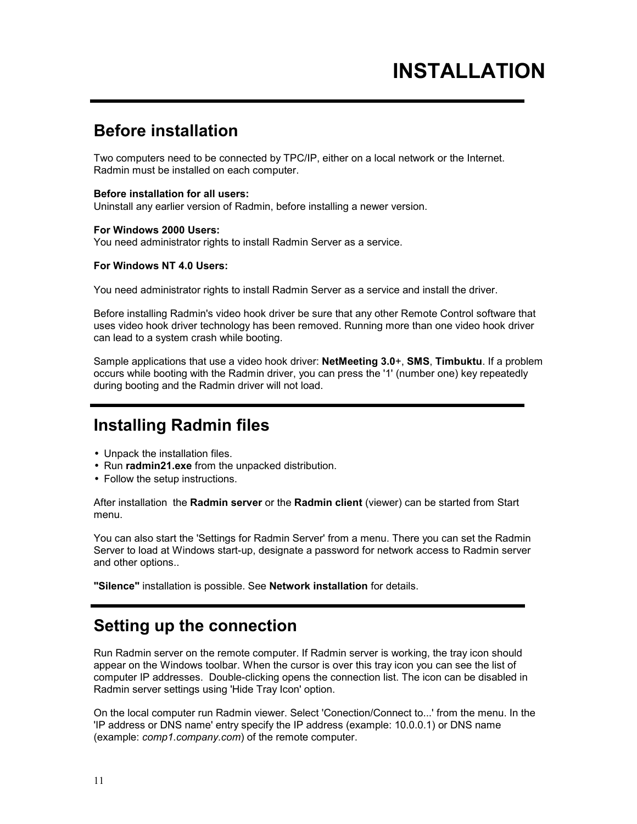### **Before installation**

Two computers need to be connected by TPC/IP, either on a local network or the Internet. Radmin must be installed on each computer.

#### **Before installation for all users:**

Uninstall any earlier version of Radmin, before installing a newer version.

#### **For Windows 2000 Users:**

You need administrator rights to install Radmin Server as a service.

#### **For Windows NT 4.0 Users:**

You need administrator rights to install Radmin Server as a service and install the driver.

Before installing Radmin's video hook driver be sure that any other Remote Control software that uses video hook driver technology has been removed. Running more than one video hook driver can lead to a system crash while booting.

Sample applications that use a video hook driver: **NetMeeting 3.0**+, **SMS**, **Timbuktu**. If a problem occurs while booting with the Radmin driver, you can press the '1' (number one) key repeatedly during booting and the Radmin driver will not load.

#### **Installing Radmin files**

- Unpack the installation files.
- Run **radmin21.exe** from the unpacked distribution.
- Follow the setup instructions.

After installation the **Radmin server** or the **Radmin client** (viewer) can be started from Start menu.

You can also start the 'Settings for Radmin Server' from a menu. There you can set the Radmin Server to load at Windows start-up, designate a password for network access to Radmin server and other options..

**"Silence"** installation is possible. See **Network installation** for details.

### **Setting up the connection**

Run Radmin server on the remote computer. If Radmin server is working, the tray icon should appear on the Windows toolbar. When the cursor is over this tray icon you can see the list of computer IP addresses. Double-clicking opens the connection list. The icon can be disabled in Radmin server settings using 'Hide Tray Icon' option.

On the local computer run Radmin viewer. Select 'Conection/Connect to...' from the menu. In the 'IP address or DNS name' entry specify the IP address (example: 10.0.0.1) or DNS name (example: *comp1.company.com*) of the remote computer.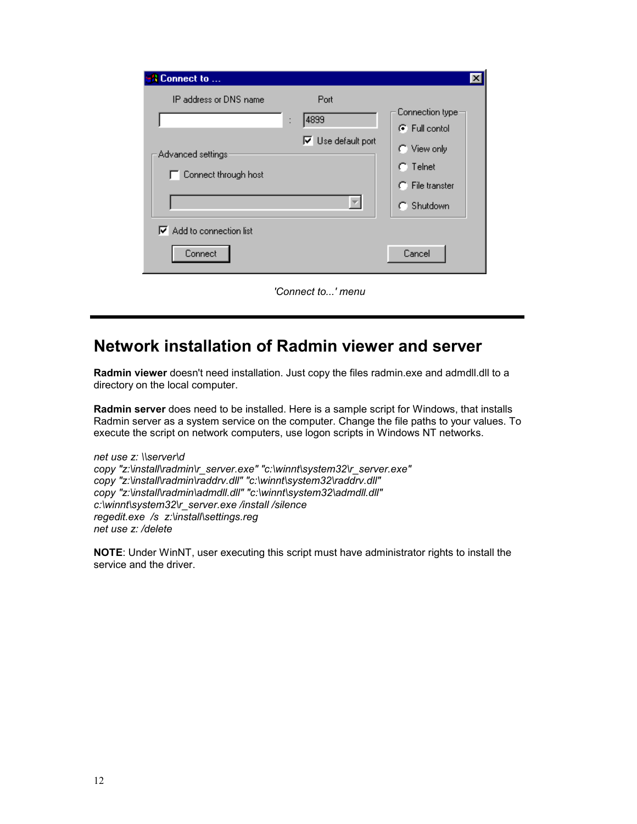| Connect to                                                              |                                                                     |
|-------------------------------------------------------------------------|---------------------------------------------------------------------|
| IP address or DNS name<br>Port<br>4899<br>$\ddot{\phantom{a}}$          | Connection type:<br>G. Full contol                                  |
| $\nabla$ Use default port<br>Advanced settings:<br>Connect through host | C View only<br>$\cap$ Telnet<br>$\cap$ File transter<br>C: Shutdown |
| $\nabla$ Add to connection list<br>Connect                              | Cancel                                                              |

*'Connect to...' menu* 

# **Network installation of Radmin viewer and server**

**Radmin viewer** doesn't need installation. Just copy the files radmin.exe and admdll.dll to a directory on the local computer.

**Radmin server** does need to be installed. Here is a sample script for Windows, that installs Radmin server as a system service on the computer. Change the file paths to your values. To execute the script on network computers, use logon scripts in Windows NT networks.

*net use z: \\server\d copy "z:\install\radmin\r\_server.exe" "c:\winnt\system32\r\_server.exe" copy "z:\install\radmin\raddrv.dll" "c:\winnt\system32\raddrv.dll" copy "z:\install\radmin\admdll.dll" "c:\winnt\system32\admdll.dll" c:\winnt\system32\r\_server.exe /install /silence regedit.exe /s z:\install\settings.reg net use z: /delete* 

**NOTE**: Under WinNT, user executing this script must have administrator rights to install the service and the driver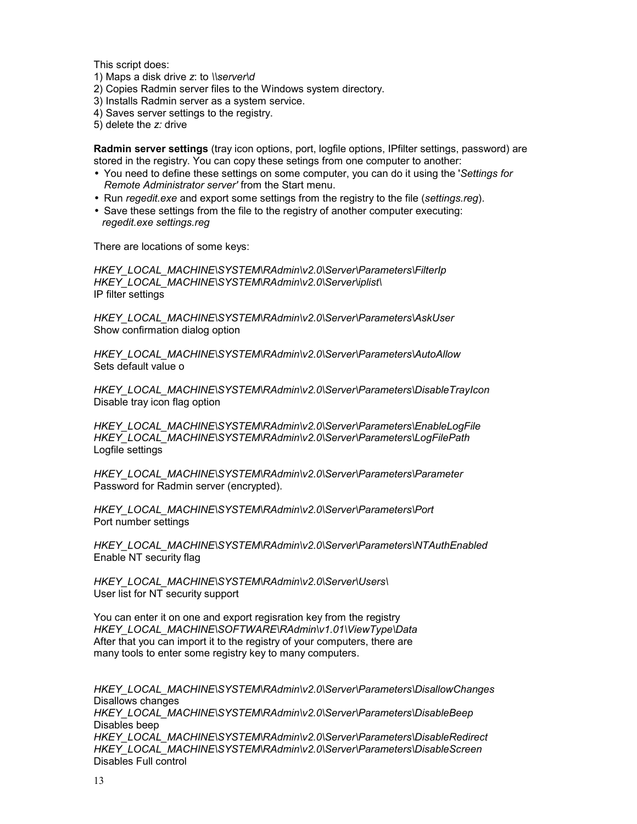This script does:

- 1) Maps a disk drive *z*: to *\\server\d*
- 2) Copies Radmin server files to the Windows system directory.
- 3) Installs Radmin server as a system service.
- 4) Saves server settings to the registry.
- 5) delete the *z:* drive

**Radmin server settings** (tray icon options, port, logfile options, IPfilter settings, password) are stored in the registry. You can copy these setings from one computer to another:

- You need to define these settings on some computer, you can do it using the '*Settings for Remote Administrator server'* from the Start menu.
- Run *regedit.exe* and export some settings from the registry to the file (*settings.reg*).
- Save these settings from the file to the registry of another computer executing: *regedit.exe settings.reg*

There are locations of some keys:

*HKEY\_LOCAL\_MACHINE\SYSTEM\RAdmin\v2.0\Server\Parameters\FilterIp HKEY\_LOCAL\_MACHINE\SYSTEM\RAdmin\v2.0\Server\iplist\*  IP filter settings

*HKEY\_LOCAL\_MACHINE\SYSTEM\RAdmin\v2.0\Server\Parameters\AskUser*  Show confirmation dialog option

*HKEY\_LOCAL\_MACHINE\SYSTEM\RAdmin\v2.0\Server\Parameters\AutoAllow*  Sets default value o

*HKEY\_LOCAL\_MACHINE\SYSTEM\RAdmin\v2.0\Server\Parameters\DisableTrayIcon*  Disable tray icon flag option

*HKEY\_LOCAL\_MACHINE\SYSTEM\RAdmin\v2.0\Server\Parameters\EnableLogFile HKEY\_LOCAL\_MACHINE\SYSTEM\RAdmin\v2.0\Server\Parameters\LogFilePath*  Logfile settings

*HKEY\_LOCAL\_MACHINE\SYSTEM\RAdmin\v2.0\Server\Parameters\Parameter*  Password for Radmin server (encrypted).

*HKEY\_LOCAL\_MACHINE\SYSTEM\RAdmin\v2.0\Server\Parameters\Port*  Port number settings

*HKEY\_LOCAL\_MACHINE\SYSTEM\RAdmin\v2.0\Server\Parameters\NTAuthEnabled*  Enable NT security flag

*HKEY\_LOCAL\_MACHINE\SYSTEM\RAdmin\v2.0\Server\Users\*  User list for NT security support

You can enter it on one and export regisration key from the registry *HKEY\_LOCAL\_MACHINE\SOFTWARE\RAdmin\v1.01\ViewType\Data*  After that you can import it to the registry of your computers, there are many tools to enter some registry key to many computers.

*HKEY\_LOCAL\_MACHINE\SYSTEM\RAdmin\v2.0\Server\Parameters\DisallowChanges*  Disallows changes *HKEY\_LOCAL\_MACHINE\SYSTEM\RAdmin\v2.0\Server\Parameters\DisableBeep*  Disables beep *HKEY\_LOCAL\_MACHINE\SYSTEM\RAdmin\v2.0\Server\Parameters\DisableRedirect HKEY\_LOCAL\_MACHINE\SYSTEM\RAdmin\v2.0\Server\Parameters\DisableScreen*  Disables Full control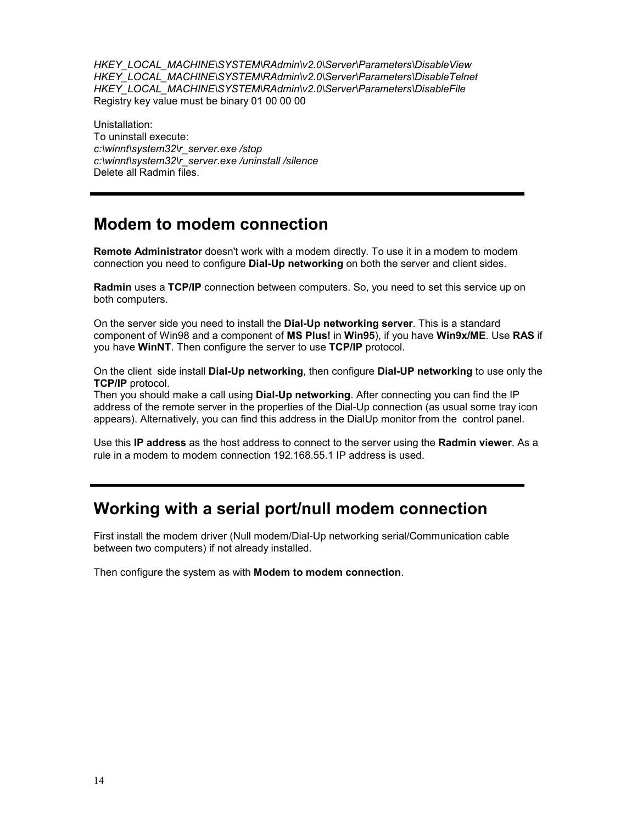*HKEY\_LOCAL\_MACHINE\SYSTEM\RAdmin\v2.0\Server\Parameters\DisableView HKEY\_LOCAL\_MACHINE\SYSTEM\RAdmin\v2.0\Server\Parameters\DisableTelnet HKEY\_LOCAL\_MACHINE\SYSTEM\RAdmin\v2.0\Server\Parameters\DisableFile*  Registry key value must be binary 01 00 00 00

Unistallation: To uninstall execute: *c:\winnt\system32\r\_server.exe /stop c:\winnt\system32\r\_server.exe /uninstall /silence*  Delete all Radmin files.

### **Modem to modem connection**

**Remote Administrator** doesn't work with a modem directly. To use it in a modem to modem connection you need to configure **Dial-Up networking** on both the server and client sides.

**Radmin** uses a **TCP/IP** connection between computers. So, you need to set this service up on both computers.

On the server side you need to install the **Dial-Up networking server**. This is a standard component of Win98 and a component of **MS Plus!** in **Win95**), if you have **Win9x/ME**. Use **RAS** if you have **WinNT**. Then configure the server to use **TCP/IP** protocol.

On the client side install **Dial-Up networking**, then configure **Dial-UP networking** to use only the **TCP/IP** protocol.

Then you should make a call using **Dial-Up networking**. After connecting you can find the IP address of the remote server in the properties of the Dial-Up connection (as usual some tray icon appears). Alternatively, you can find this address in the DialUp monitor from the control panel.

Use this **IP address** as the host address to connect to the server using the **Radmin viewer**. As a rule in a modem to modem connection 192.168.55.1 IP address is used.

### **Working with a serial port/null modem connection**

First install the modem driver (Null modem/Dial-Up networking serial/Communication cable between two computers) if not already installed.

Then configure the system as with **Modem to modem connection**.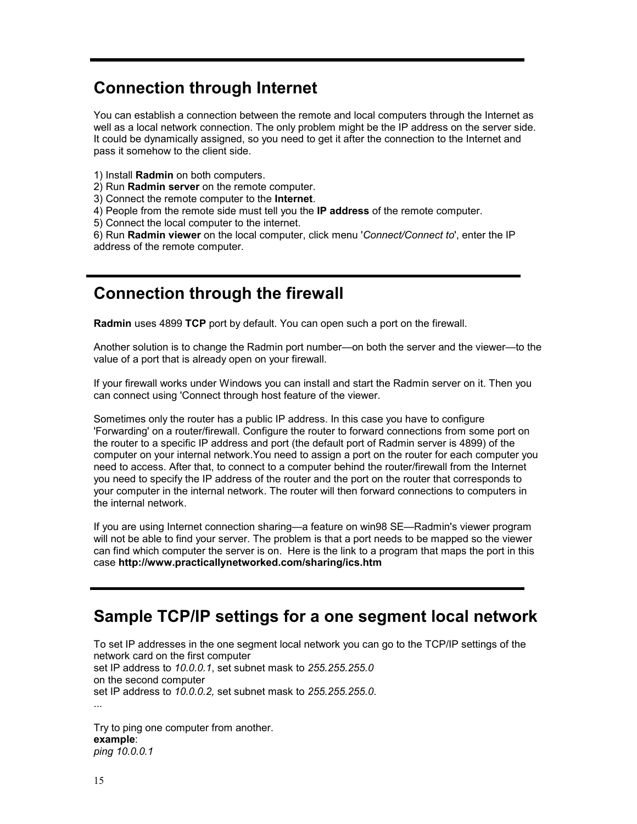### **Connection through Internet**

You can establish a connection between the remote and local computers through the Internet as well as a local network connection. The only problem might be the IP address on the server side. It could be dynamically assigned, so you need to get it after the connection to the Internet and pass it somehow to the client side.

- 1) Install **Radmin** on both computers.
- 2) Run **Radmin server** on the remote computer.
- 3) Connect the remote computer to the **Internet**.
- 4) People from the remote side must tell you the **IP address** of the remote computer.
- 5) Connect the local computer to the internet.

6) Run **Radmin viewer** on the local computer, click menu '*Connect/Connect to*', enter the IP address of the remote computer.

### **Connection through the firewall**

**Radmin** uses 4899 **TCP** port by default. You can open such a port on the firewall.

Another solution is to change the Radmin port number—on both the server and the viewer—to the value of a port that is already open on your firewall.

If your firewall works under Windows you can install and start the Radmin server on it. Then you can connect using 'Connect through host feature of the viewer.

Sometimes only the router has a public IP address. In this case you have to configure 'Forwarding' on a router/firewall. Configure the router to forward connections from some port on the router to a specific IP address and port (the default port of Radmin server is 4899) of the computer on your internal network.You need to assign a port on the router for each computer you need to access. After that, to connect to a computer behind the router/firewall from the Internet you need to specify the IP address of the router and the port on the router that corresponds to your computer in the internal network. The router will then forward connections to computers in the internal network.

If you are using Internet connection sharing—a feature on win98 SE—Radmin's viewer program will not be able to find your server. The problem is that a port needs to be mapped so the viewer can find which computer the server is on. Here is the link to a program that maps the port in this case **http://www.practicallynetworked.com/sharing/ics.htm** 

#### **Sample TCP/IP settings for a one segment local network**

To set IP addresses in the one segment local network you can go to the TCP/IP settings of the network card on the first computer set IP address to *10.0.0.1*, set subnet mask to *255.255.255.0*  on the second computer set IP address to *10.0.0.2,* set subnet mask to *255.255.255.0*. ...

Try to ping one computer from another. **example**: *ping 10.0.0.1*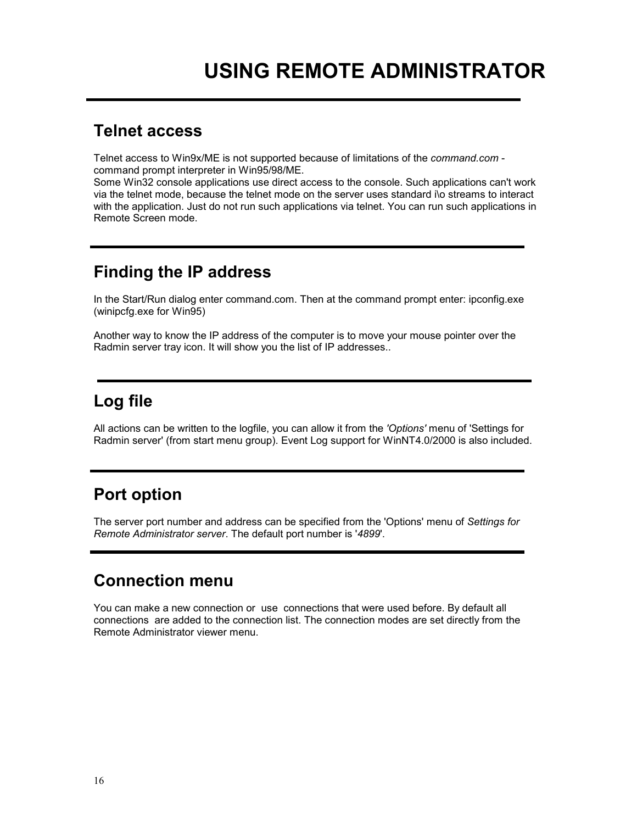#### **Telnet access**

Telnet access to Win9x/ME is not supported because of limitations of the *command.com* command prompt interpreter in Win95/98/ME.

Some Win32 console applications use direct access to the console. Such applications can't work via the telnet mode, because the telnet mode on the server uses standard i\o streams to interact with the application. Just do not run such applications via telnet. You can run such applications in Remote Screen mode.

### **Finding the IP address**

In the Start/Run dialog enter command.com. Then at the command prompt enter: ipconfig.exe (winipcfg.exe for Win95)

Another way to know the IP address of the computer is to move your mouse pointer over the Radmin server tray icon. It will show you the list of IP addresses..

# **Log file**

All actions can be written to the logfile, you can allow it from the *'Options'* menu of 'Settings for Radmin server' (from start menu group). Event Log support for WinNT4.0/2000 is also included.

# **Port option**

The server port number and address can be specified from the 'Options' menu of *Settings for Remote Administrator server*. The default port number is '*4899*'.

# **Connection menu**

You can make a new connection or use connections that were used before. By default all connections are added to the connection list. The connection modes are set directly from the Remote Administrator viewer menu.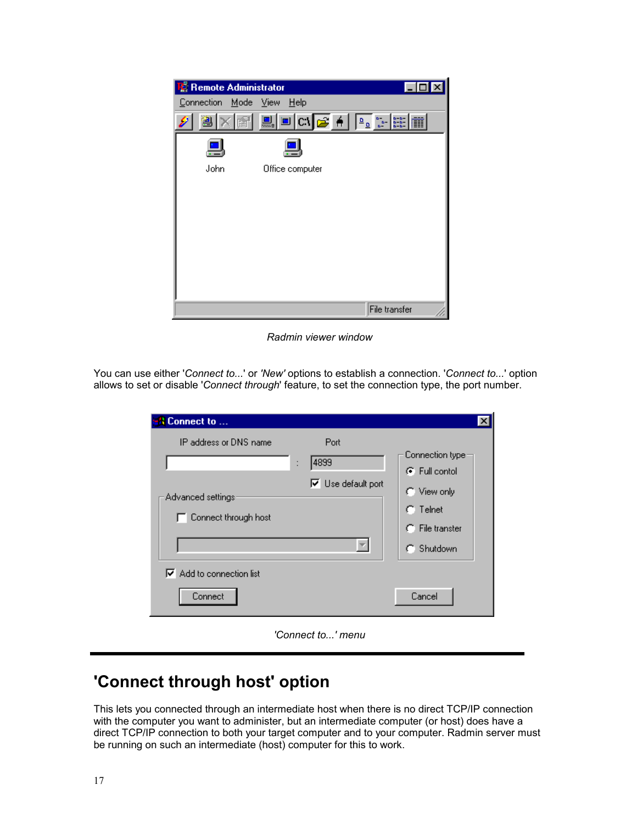| <b>Remote Administrator</b> |                  |               |
|-----------------------------|------------------|---------------|
| Connection<br>Mode View     | Help             |               |
| 阐                           | <b>DEAGA</b> PRE |               |
|                             |                  |               |
| John                        | Office computer  |               |
|                             |                  |               |
|                             |                  |               |
|                             |                  |               |
|                             |                  |               |
|                             |                  |               |
|                             |                  |               |
|                             |                  |               |
|                             |                  | File transfer |

*Radmin viewer window* 

You can use either '*Connect to...*' or *'New'* options to establish a connection. '*Connect to...*' option allows to set or disable '*Connect through*' feature, to set the connection type, the port number.

| <b>Connect to </b>                                                                                                           | ×                                                                                                                     |
|------------------------------------------------------------------------------------------------------------------------------|-----------------------------------------------------------------------------------------------------------------------|
| IP address or DNS name<br>Port<br>4899<br>$\vdots$<br>$\nabla$ Use default port<br>Advanced settings<br>Connect through host | Connection type:<br>$\mathbf{F}$ Full contol<br>C View only<br>Telnet<br>n.<br>$\cap$ File transter<br>Shutdown<br>n. |
| $\nabla$ Add to connection list<br>Connect                                                                                   | Cancel                                                                                                                |
| 'Connect to' menu                                                                                                            |                                                                                                                       |

### **'Connect through host' option**

This lets you connected through an intermediate host when there is no direct TCP/IP connection with the computer you want to administer, but an intermediate computer (or host) does have a direct TCP/IP connection to both your target computer and to your computer. Radmin server must be running on such an intermediate (host) computer for this to work.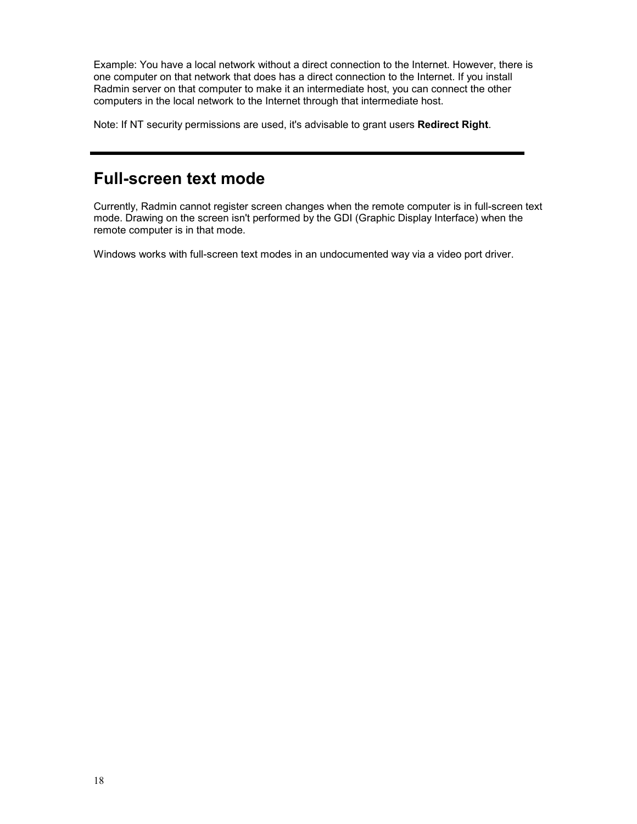Example: You have a local network without a direct connection to the Internet. However, there is one computer on that network that does has a direct connection to the Internet. If you install Radmin server on that computer to make it an intermediate host, you can connect the other computers in the local network to the Internet through that intermediate host.

Note: If NT security permissions are used, it's advisable to grant users **Redirect Right**.

### **Full-screen text mode**

Currently, Radmin cannot register screen changes when the remote computer is in full-screen text mode. Drawing on the screen isn't performed by the GDI (Graphic Display Interface) when the remote computer is in that mode.

Windows works with full-screen text modes in an undocumented way via a video port driver.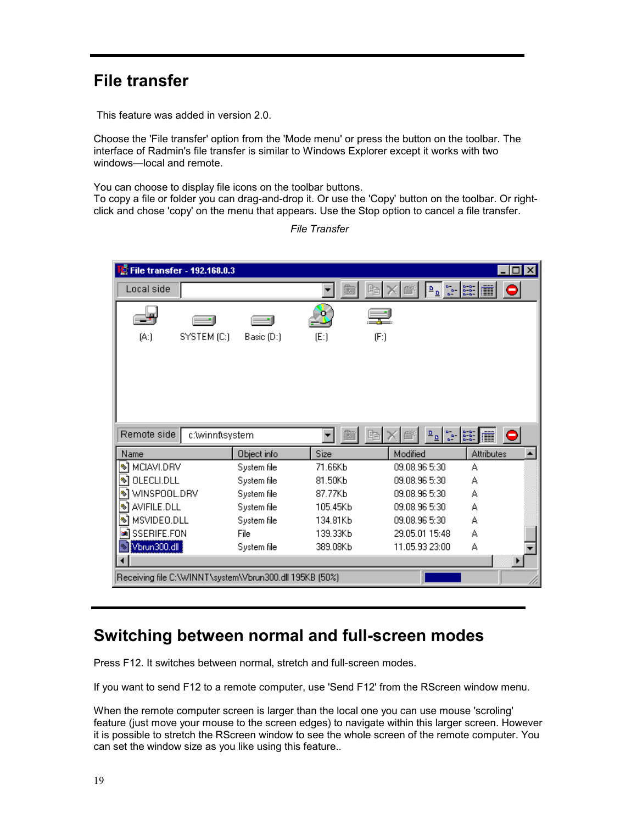# **File transfer**

This feature was added in version 2.0.

Choose the 'File transfer' option from the 'Mode menu' or press the button on the toolbar. The interface of Radmin's file transfer is similar to Windows Explorer except it works with two windows-local and remote.

You can choose to display file icons on the toolbar buttons.

To copy a file or folder you can drag-and-drop it. Or use the 'Copy' button on the toolbar. Or rightclick and chose 'copy' on the menu that appears. Use the Stop option to cancel a file transfer.

| File transfer - 192.168.0.3                             |             |          |                                                                                | $\vert x \vert$<br>П |
|---------------------------------------------------------|-------------|----------|--------------------------------------------------------------------------------|----------------------|
| Local side                                              |             |          | $\frac{a}{a}$<br>$\frac{\alpha}{\sqrt{2}}$                                     | $\frac{1}{2}$<br>0   |
|                                                         |             | ۰        |                                                                                |                      |
| (A)<br>SYSTEM (C:)                                      | Basic (D:)  | (E: )    | (F)                                                                            |                      |
|                                                         |             |          |                                                                                |                      |
|                                                         |             |          |                                                                                |                      |
|                                                         |             |          |                                                                                |                      |
|                                                         |             |          |                                                                                |                      |
|                                                         |             |          |                                                                                |                      |
| Remote side<br>c:\winnt\system                          |             | 臨        | $\frac{a}{a}$<br>$\frac{\underline{\mathsf{D}}}{\underline{\mathsf{D}}}$<br>lh | <b>EXERN</b>         |
| Name                                                    | Object info | Size     | Modified                                                                       | <b>Attributes</b>    |
| ঋ<br>MCIAVI.DRV                                         | System file | 71.66Kb  | 09.08.96 5:30                                                                  | А                    |
| ข้<br>OLECLI.DLL                                        | System file | 81.50Kb  | 09.08.96 5:30                                                                  | А                    |
| WINSPOOL.DRV<br>∾                                       | System file | 87.77Kb  | 09.08.96 5:30                                                                  | А                    |
| AVIFILE.DLL<br>∾                                        | System file | 105.45Kb | 09.08.96 5:30                                                                  | А                    |
| MSVIDEO.DLL<br>∾                                        | System file | 134.81Kb | 09.08.96 5:30                                                                  | А                    |
| SSERIFE.FON                                             | File        | 139.33Kb | 29.05.01 15:48                                                                 | А                    |
| Vbrun300.dll                                            | System file | 389.08Kb | 11.05.93 23:00                                                                 | А                    |
|                                                         |             |          |                                                                                |                      |
| Receiving file C:\WINNT\system\Vbrun300.dll 195KB (50%) |             |          |                                                                                |                      |

*File Transfer* 

### **Switching between normal and full-screen modes**

Press F12. It switches between normal, stretch and full-screen modes.

If you want to send F12 to a remote computer, use 'Send F12' from the RScreen window menu.

When the remote computer screen is larger than the local one you can use mouse 'scroling' feature (just move your mouse to the screen edges) to navigate within this larger screen. However it is possible to stretch the RScreen window to see the whole screen of the remote computer. You can set the window size as you like using this feature..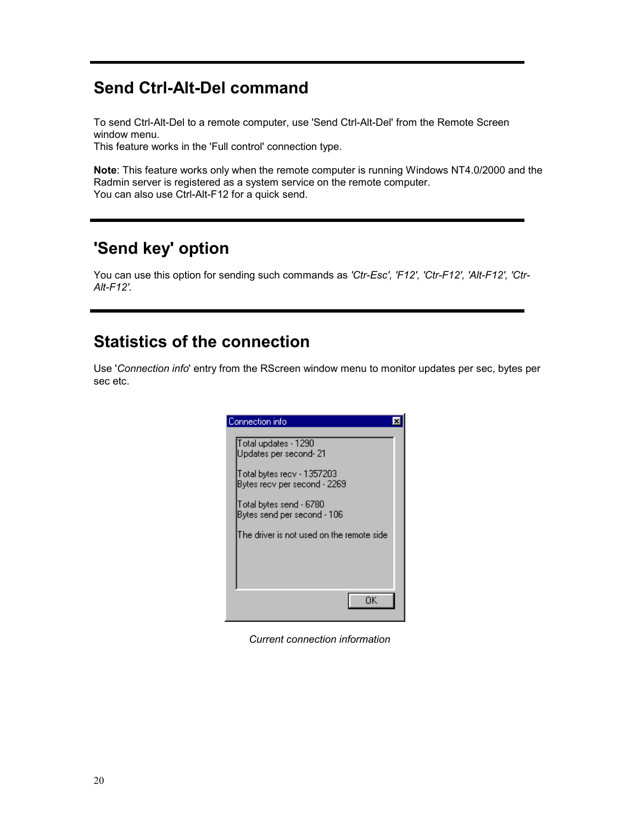### **Send Ctrl-Alt-Del command**

To send Ctrl-Alt-Del to a remote computer, use 'Send Ctrl-Alt-Del' from the Remote Screen window menu.

This feature works in the 'Full control' connection type.

**Note**: This feature works only when the remote computer is running Windows NT4.0/2000 and the Radmin server is registered as a system service on the remote computer. You can also use Ctrl-Alt-F12 for a quick send.

### **'Send key' option**

You can use this option for sending such commands as *'Ctr-Esc', 'F12', 'Ctr-F12', 'Alt-F12', 'Ctr-Alt-F12'.*

### **Statistics of the connection**

Use '*Connection info*' entry from the RScreen window menu to monitor updates per sec, bytes per sec etc.

| Connection info                                                                                              |  |
|--------------------------------------------------------------------------------------------------------------|--|
| Total updates - 1290<br>Updates per second- 21<br>Total bytes recv - 1357203<br>Bytes recv per second - 2269 |  |
| Total bytes send - 6780<br>Bytes send per second - 106                                                       |  |
| The driver is not used on the remote side                                                                    |  |
| ΠK                                                                                                           |  |

*Current connection information*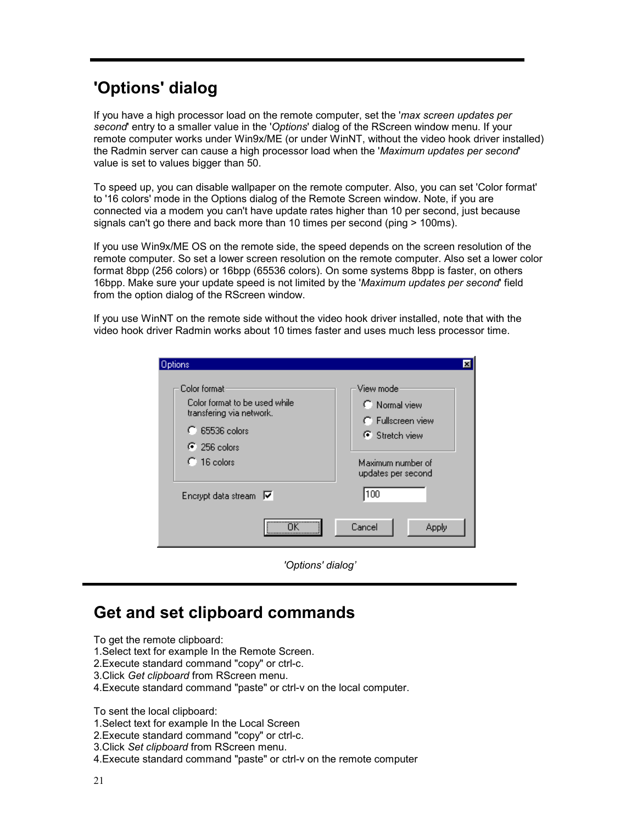# **'Options' dialog**

If you have a high processor load on the remote computer, set the '*max screen updates per second*' entry to a smaller value in the '*Options*' dialog of the RScreen window menu. If your remote computer works under Win9x/ME (or under WinNT, without the video hook driver installed) the Radmin server can cause a high processor load when the '*Maximum updates per second*' value is set to values bigger than 50.

To speed up, you can disable wallpaper on the remote computer. Also, you can set 'Color format' to '16 colors' mode in the Options dialog of the Remote Screen window. Note, if you are connected via a modem you can't have update rates higher than 10 per second, just because signals can't go there and back more than 10 times per second (ping > 100ms).

If you use Win9x/ME OS on the remote side, the speed depends on the screen resolution of the remote computer. So set a lower screen resolution on the remote computer. Also set a lower color format 8bpp (256 colors) or 16bpp (65536 colors). On some systems 8bpp is faster, on others 16bpp. Make sure your update speed is not limited by the '*Maximum updates per second*' field from the option dialog of the RScreen window.

If you use WinNT on the remote side without the video hook driver installed, note that with the video hook driver Radmin works about 10 times faster and uses much less processor time.

| <b>Options</b>                                                                                                                           |                                                                                                                    |
|------------------------------------------------------------------------------------------------------------------------------------------|--------------------------------------------------------------------------------------------------------------------|
| Color format:<br>Color format to be used while<br>transfering via network.<br>$C$ 65536 colors<br>$\odot$ 256 colors<br>$\cap$ 16 colors | View mode:<br>$\cap$ Normal view<br>C Fullscreen view<br>G Stretch view<br>Maximum number of<br>updates per second |
| Encrypt data stream $\nabla$                                                                                                             | 100                                                                                                                |
| <u></u>                                                                                                                                  | Cancel<br>Apply                                                                                                    |
| 'Options' dialog'                                                                                                                        |                                                                                                                    |

### **Get and set clipboard commands**

To get the remote clipboard:

- 1.Select text for example In the Remote Screen.
- 2.Execute standard command "copy" or ctrl-c.
- 3.Click *Get clipboard* from RScreen menu.
- 4.Execute standard command "paste" or ctrl-v on the local computer.

To sent the local clipboard:

- 1.Select text for example In the Local Screen
- 2.Execute standard command "copy" or ctrl-c.
- 3.Click *Set clipboard* from RScreen menu.
- 4.Execute standard command "paste" or ctrl-v on the remote computer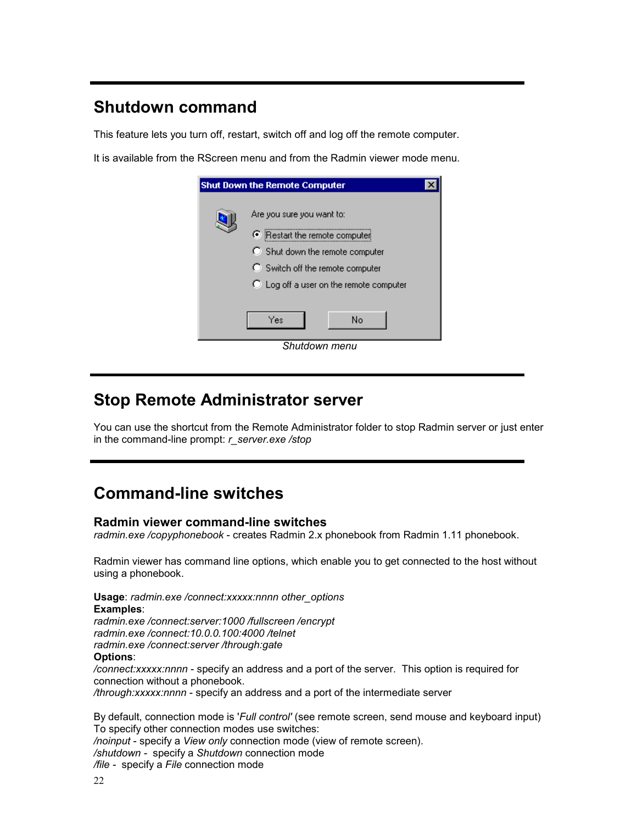### **Shutdown command**

This feature lets you turn off, restart, switch off and log off the remote computer.

It is available from the RScreen menu and from the Radmin viewer mode menu.

| <b>Shut Down the Remote Computer</b>                                                                                                                                                  |  |  |  |
|---------------------------------------------------------------------------------------------------------------------------------------------------------------------------------------|--|--|--|
| Are you sure you want to:<br>● Restart the remote computer<br>C Shut down the remote computer<br>C Switch off the remote computer<br>$\bigcirc$ Log off a user on the remote computer |  |  |  |
| Yes<br>No                                                                                                                                                                             |  |  |  |
| Shutdown menu                                                                                                                                                                         |  |  |  |

### **Stop Remote Administrator server**

You can use the shortcut from the Remote Administrator folder to stop Radmin server or just enter in the command-line prompt: *r\_server.exe /stop* 

# **Command-line switches**

#### **Radmin viewer command-line switches**

*radmin.exe /copyphonebook* - creates Radmin 2.x phonebook from Radmin 1.11 phonebook.

Radmin viewer has command line options, which enable you to get connected to the host without using a phonebook.

**Usage**: *radmin.exe /connect:xxxxx:nnnn other\_options*  **Examples**:

*radmin.exe /connect:server:1000 /fullscreen /encrypt radmin.exe /connect:10.0.0.100:4000 /telnet radmin.exe /connect:server /through:gate*  **Options**:

*/connect:xxxxx:nnnn* - specify an address and a port of the server. This option is required for connection without a phonebook.

*/through:xxxxx:nnnn* - specify an address and a port of the intermediate server

By default, connection mode is '*Full control'* (see remote screen, send mouse and keyboard input) To specify other connection modes use switches: */noinput* - specify a *View only* connection mode (view of remote screen). */shutdown -* specify a *Shutdown* connection mode */file -* specify a *File* connection mode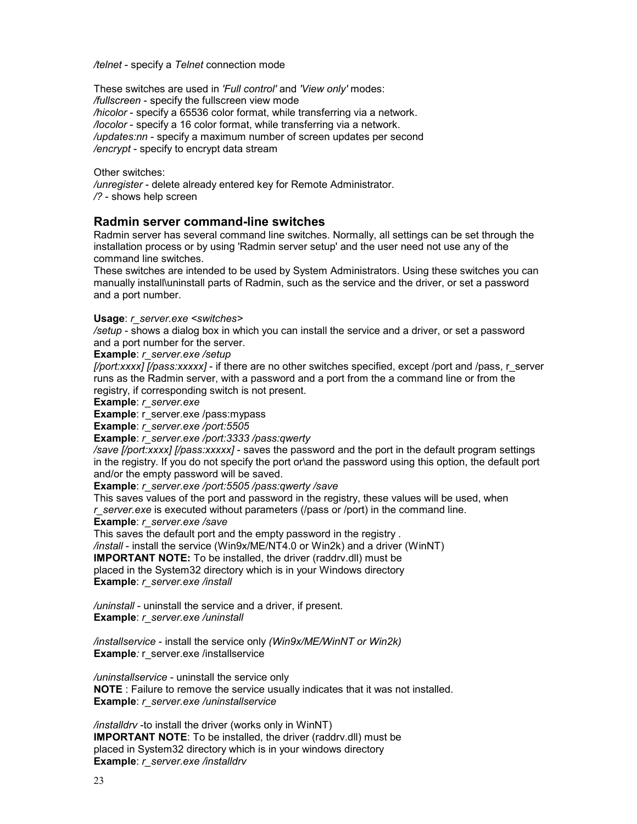*/telnet* - specify a *Telnet* connection mode

These switches are used in *'Full control'* and *'View only'* modes: */fullscreen* - specify the fullscreen view mode */hicolor* - specify a 65536 color format, while transferring via a network. */locolor* - specify a 16 color format, while transferring via a network. */updates:nn* - specify a maximum number of screen updates per second */encrypt* - specify to encrypt data stream

Other switches:

*/unregister* - delete already entered key for Remote Administrator. */?* - shows help screen

#### **Radmin server command-line switches**

Radmin server has several command line switches. Normally, all settings can be set through the installation process or by using 'Radmin server setup' and the user need not use any of the command line switches.

These switches are intended to be used by System Administrators. Using these switches you can manually install\uninstall parts of Radmin, such as the service and the driver, or set a password and a port number.

#### **Usage**: *r\_server.exe <switches>*

*/setup* - shows a dialog box in which you can install the service and a driver, or set a password and a port number for the server.

**Example**: *r\_server.exe /setup* 

*[/port:xxxx] [/pass:xxxxx]* - if there are no other switches specified, except /port and /pass, r\_server runs as the Radmin server, with a password and a port from the a command line or from the registry, if corresponding switch is not present.

**Example**: *r\_server.exe* 

**Example:** r\_server.exe /pass:mypass

**Example**: *r\_server.exe /port:5505* 

**Example**: *r\_server.exe /port:3333 /pass:qwerty* 

*/save [/port:xxxx] [/pass:xxxxx]* - saves the password and the port in the default program settings in the registry. If you do not specify the port or\and the password using this option, the default port and/or the empty password will be saved.

**Example**: *r\_server.exe /port:5505 /pass:qwerty /save* 

This saves values of the port and password in the registry, these values will be used, when *r\_server.exe* is executed without parameters (/pass or /port) in the command line.

**Example**: *r\_server.exe /save* 

This saves the default port and the empty password in the registry .

*/install* - install the service (Win9x/ME/NT4.0 or Win2k) and a driver (WinNT)

**IMPORTANT NOTE:** To be installed, the driver (raddrv.dll) must be

placed in the System32 directory which is in your Windows directory **Example**: *r\_server.exe /install* 

*/uninstall* - uninstall the service and a driver, if present. **Example**: *r\_server.exe /uninstall* 

*/installservice* - install the service only *(Win9x/ME/WinNT or Win2k)*  **Example***:* r\_server.exe /installservice

*/uninstallservice* - uninstall the service only **NOTE** : Failure to remove the service usually indicates that it was not installed. **Example**: *r\_server.exe /uninstallservice* 

*/installdrv* -to install the driver (works only in WinNT) **IMPORTANT NOTE**: To be installed, the driver (raddrv.dll) must be placed in System32 directory which is in your windows directory **Example**: *r\_server.exe /installdrv*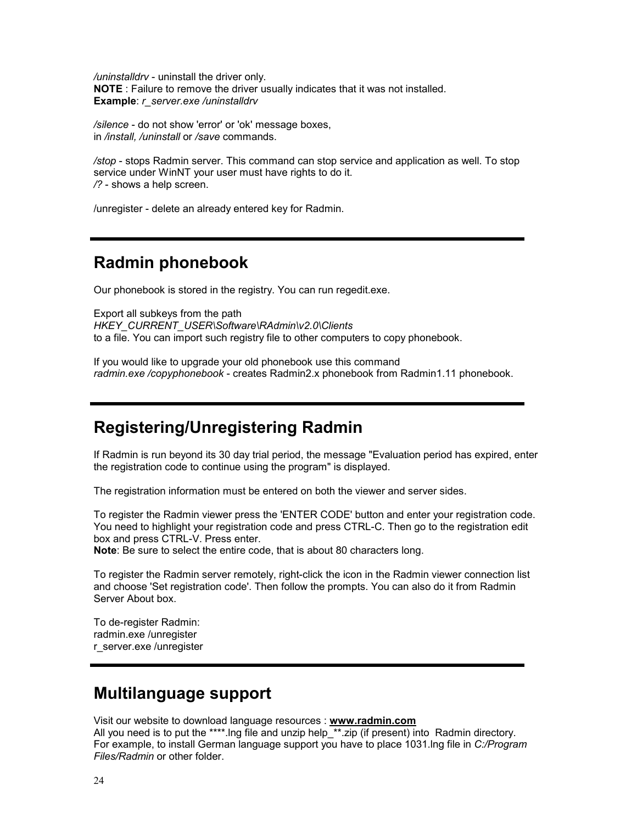*/uninstalldrv* - uninstall the driver only. **NOTE** : Failure to remove the driver usually indicates that it was not installed. **Example**: *r\_server.exe /uninstalldrv* 

*/silence* - do not show 'error' or 'ok' message boxes, in */install, /uninstall* or */save* commands.

*/stop* - stops Radmin server. This command can stop service and application as well. To stop service under WinNT your user must have rights to do it. */?* - shows a help screen.

/unregister - delete an already entered key for Radmin.

### **Radmin phonebook**

Our phonebook is stored in the registry. You can run regedit.exe.

Export all subkeys from the path *HKEY\_CURRENT\_USER\Software\RAdmin\v2.0\Clients*  to a file. You can import such registry file to other computers to copy phonebook.

If you would like to upgrade your old phonebook use this command *radmin.exe /copyphonebook* - creates Radmin2.x phonebook from Radmin1.11 phonebook.

### **Registering/Unregistering Radmin**

If Radmin is run beyond its 30 day trial period, the message "Evaluation period has expired, enter the registration code to continue using the program" is displayed.

The registration information must be entered on both the viewer and server sides.

To register the Radmin viewer press the 'ENTER CODE' button and enter your registration code. You need to highlight your registration code and press CTRL-C. Then go to the registration edit box and press CTRL-V. Press enter.

**Note**: Be sure to select the entire code, that is about 80 characters long.

To register the Radmin server remotely, right-click the icon in the Radmin viewer connection list and choose 'Set registration code'. Then follow the prompts. You can also do it from Radmin Server About box.

To de-register Radmin: radmin.exe /unregister r\_server.exe /unregister

### **Multilanguage support**

Visit our website to download language resources : **www.radmin.com**

All you need is to put the \*\*\*\*.lng file and unzip help  $*$ \*.zip (if present) into Radmin directory. For example, to install German language support you have to place 1031.lng file in *C:/Program Files/Radmin* or other folder.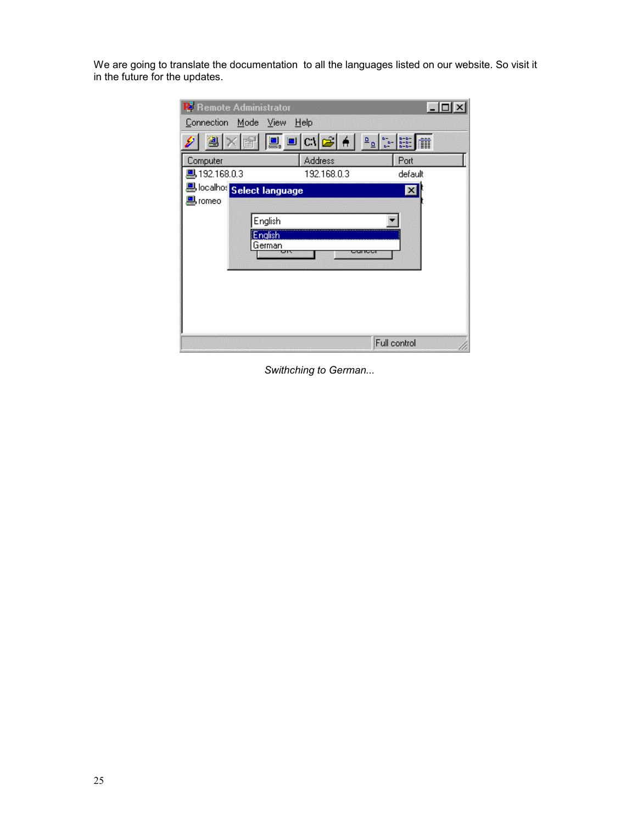We are going to translate the documentation to all the languages listed on our website. So visit it in the future for the updates.

| <b>R</b> Remote Administrator                           |                      |                                                                                                                                                                                                                                                                        |
|---------------------------------------------------------|----------------------|------------------------------------------------------------------------------------------------------------------------------------------------------------------------------------------------------------------------------------------------------------------------|
| Connection Mode View Help                               |                      |                                                                                                                                                                                                                                                                        |
| 图                                                       |                      | $\left\  \underline{\underline{\mathbf{D}}} \right\ _{\underline{\underline{\mathbf{D}}}^{\underline{\mathbf{D}}-1}} \left\  \underline{\underline{\mathbf{D}}} \right\ _{\underline{\underline{\mathbf{D}}}^{\underline{\mathbf{D}}-1}}$<br>$-2 - 3$<br>$-2 - 3$<br>m |
| Computer                                                | Address              | Port                                                                                                                                                                                                                                                                   |
| ■ 192.168.0.3                                           | 192.168.0.3          | default                                                                                                                                                                                                                                                                |
| e <mark>d</mark> localhos <mark> Select language</mark> |                      | $\overline{\mathbf{x}}$                                                                                                                                                                                                                                                |
| Borneo                                                  |                      |                                                                                                                                                                                                                                                                        |
| English                                                 |                      |                                                                                                                                                                                                                                                                        |
| <b>English</b>                                          |                      |                                                                                                                                                                                                                                                                        |
| German<br>ਯਾ                                            | <b>PERMIT LEADER</b> |                                                                                                                                                                                                                                                                        |
|                                                         |                      |                                                                                                                                                                                                                                                                        |
|                                                         |                      |                                                                                                                                                                                                                                                                        |
|                                                         |                      |                                                                                                                                                                                                                                                                        |
|                                                         |                      |                                                                                                                                                                                                                                                                        |
|                                                         |                      |                                                                                                                                                                                                                                                                        |
|                                                         |                      | Full control                                                                                                                                                                                                                                                           |

*Swithching to German...*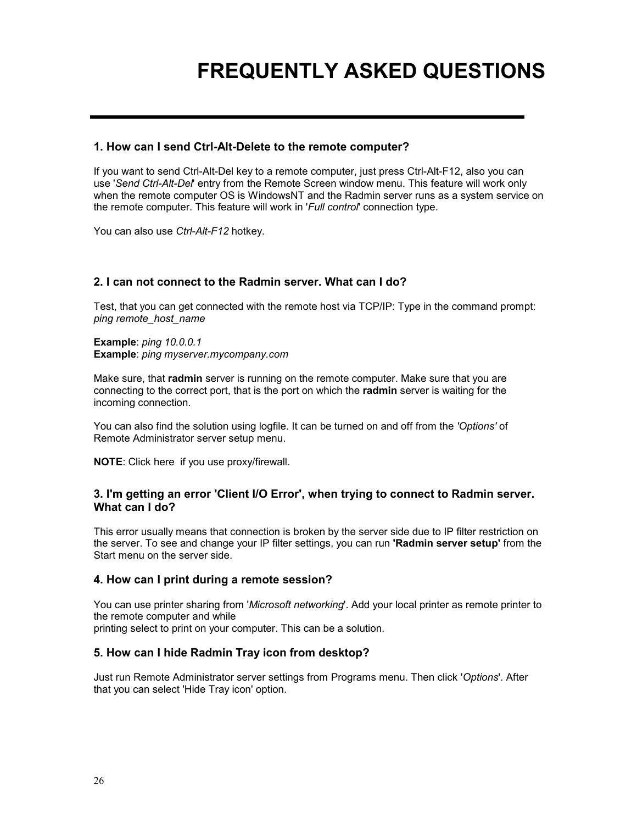# **FREQUENTLY ASKED QUESTIONS**

#### **1. How can I send Ctrl-Alt-Delete to the remote computer?**

If you want to send Ctrl-Alt-Del key to a remote computer, just press Ctrl-Alt-F12, also you can use '*Send Ctrl-Alt-Del*' entry from the Remote Screen window menu. This feature will work only when the remote computer OS is WindowsNT and the Radmin server runs as a system service on the remote computer. This feature will work in '*Full control*' connection type.

You can also use *Ctrl-Alt-F12* hotkey.

#### **2. I can not connect to the Radmin server. What can I do?**

Test, that you can get connected with the remote host via TCP/IP: Type in the command prompt: *ping remote\_host\_name* 

**Example**: *ping 10.0.0.1*  **Example**: *ping myserver.mycompany.com* 

Make sure, that **radmin** server is running on the remote computer. Make sure that you are connecting to the correct port, that is the port on which the **radmin** server is waiting for the incoming connection.

You can also find the solution using logfile. It can be turned on and off from the *'Options'* of Remote Administrator server setup menu.

**NOTE**: Click here if you use proxy/firewall.

#### **3. I'm getting an error 'Client I/O Error', when trying to connect to Radmin server. What can I do?**

This error usually means that connection is broken by the server side due to IP filter restriction on the server. To see and change your IP filter settings, you can run **'Radmin server setup'** from the Start menu on the server side.

#### **4. How can I print during a remote session?**

You can use printer sharing from '*Microsoft networking*'. Add your local printer as remote printer to the remote computer and while printing select to print on your computer. This can be a solution.

#### **5. How can I hide Radmin Tray icon from desktop?**

Just run Remote Administrator server settings from Programs menu. Then click '*Options*'. After that you can select 'Hide Tray icon' option.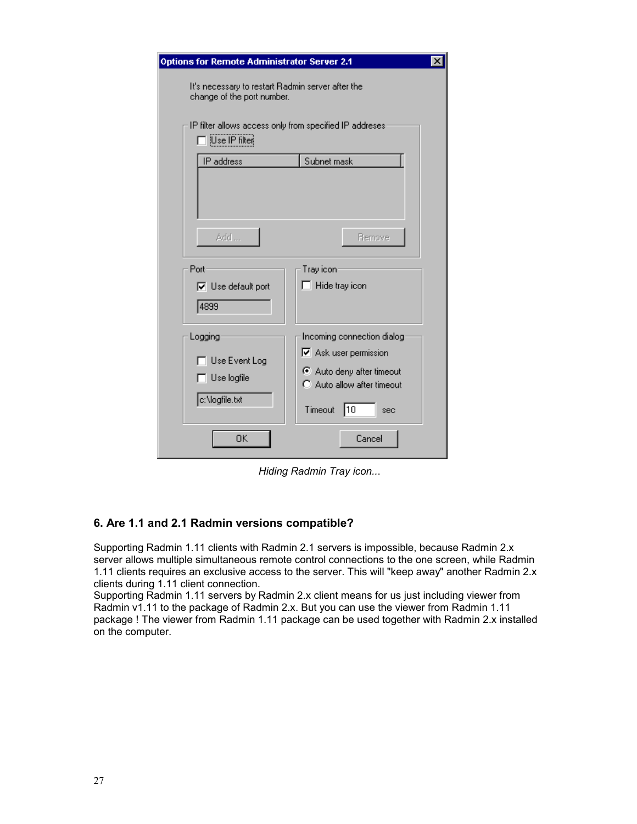| Options for Remote Administrator Server 2.1                                                        |                                                                                                                                              |  |  |  |
|----------------------------------------------------------------------------------------------------|----------------------------------------------------------------------------------------------------------------------------------------------|--|--|--|
| It's necessary to restart Radmin server after the<br>change of the port number.                    |                                                                                                                                              |  |  |  |
| IP filter allows access only from specified IP addreses<br>$\overline{\phantom{a}}$ [Use IP filter |                                                                                                                                              |  |  |  |
| IP address                                                                                         | Subnet mask                                                                                                                                  |  |  |  |
| Add                                                                                                | Remove                                                                                                                                       |  |  |  |
| Port<br>$\nabla$ Use default port<br>4899                                                          | Tray icon:<br>$\Box$ Hide tray icon                                                                                                          |  |  |  |
| Logging<br>Use Event Log<br>$\Box$ Use logfile<br>c:\logfile.txt                                   | Incoming connection dialog-<br>$\nabla$ Ask user permission<br>Auto deny after timeout<br>C Auto allow after timeout<br>10<br>Timeout<br>sec |  |  |  |
| ΟK                                                                                                 | Cancel                                                                                                                                       |  |  |  |

*Hiding Radmin Tray icon..*.

#### **6. Are 1.1 and 2.1 Radmin versions compatible?**

Supporting Radmin 1.11 clients with Radmin 2.1 servers is impossible, because Radmin 2.x server allows multiple simultaneous remote control connections to the one screen, while Radmin 1.11 clients requires an exclusive access to the server. This will "keep away" another Radmin 2.x clients during 1.11 client connection.

Supporting Radmin 1.11 servers by Radmin 2.x client means for us just including viewer from Radmin v1.11 to the package of Radmin 2.x. But you can use the viewer from Radmin 1.11 package ! The viewer from Radmin 1.11 package can be used together with Radmin 2.x installed on the computer.